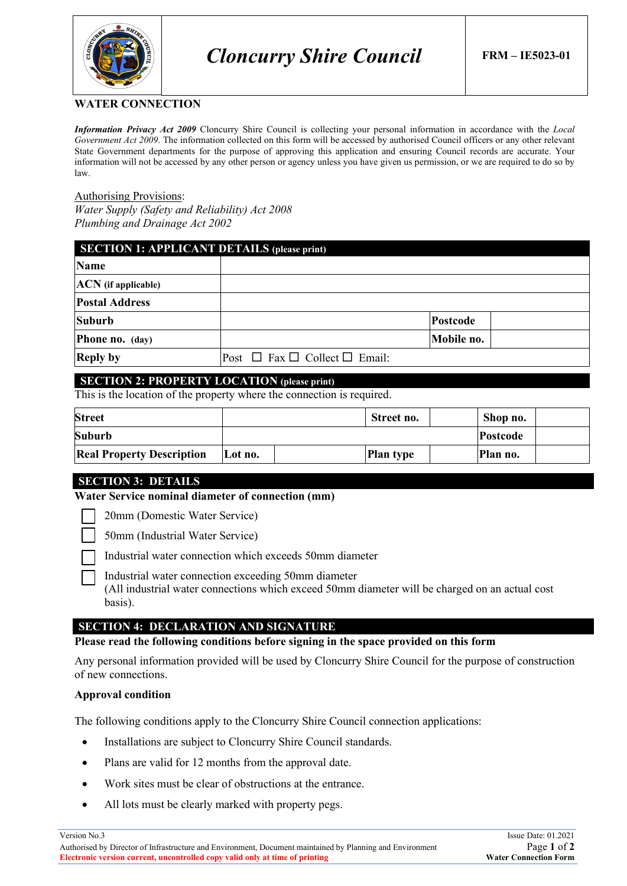

### **WATER CONNECTION**

*Information Privacy Act 2009* Cloncurry Shire Council is collecting your personal information in accordance with the *Local Government Act 2009*. The information collected on this form will be accessed by authorised Council officers or any other relevant State Government departments for the purpose of approving this application and ensuring Council records are accurate. Your information will not be accessed by any other person or agency unless you have given us permission, or we are required to do so by law.

#### Authorising Provisions:

*Water Supply (Safety and Reliability) Act 2008 Plumbing and Drainage Act 2002*

| <b>SECTION 1: APPLICANT DETAILS (please print)</b> |                                              |            |  |  |
|----------------------------------------------------|----------------------------------------------|------------|--|--|
| <b>Name</b>                                        |                                              |            |  |  |
| <b>ACN</b> (if applicable)                         |                                              |            |  |  |
| <b>Postal Address</b>                              |                                              |            |  |  |
| <b>Suburb</b>                                      |                                              | Postcode   |  |  |
| Phone no. (day)                                    |                                              | Mobile no. |  |  |
| <b>Reply by</b>                                    | Post $\Box$ Fax $\Box$ Collect $\Box$ Email: |            |  |  |

### **SECTION 2: PROPERTY LOCATION (please print)**

This is the location of the property where the connection is required.

| <b>Street</b>                    |         | Street no.       | Shop no. |  |
|----------------------------------|---------|------------------|----------|--|
| Suburb                           |         |                  | Postcode |  |
| <b>Real Property Description</b> | Lot no. | <b>Plan type</b> | Plan no. |  |

### **SECTION 3: DETAILS**

**Water Service nominal diameter of connection (mm)**

20mm (Domestic Water Service)

50mm (Industrial Water Service)

Industrial water connection which exceeds 50mm diameter

Industrial water connection exceeding 50mm diameter (All industrial water connections which exceed 50mm diameter will be charged on an actual cost basis).

# **SECTION 4: DECLARATION AND SIGNATURE**

### **Please read the following conditions before signing in the space provided on this form**

Any personal information provided will be used by Cloncurry Shire Council for the purpose of construction of new connections.

### **Approval condition**

The following conditions apply to the Cloncurry Shire Council connection applications:

- Installations are subject to Cloncurry Shire Council standards.
- Plans are valid for 12 months from the approval date.
- Work sites must be clear of obstructions at the entrance.
- All lots must be clearly marked with property pegs.